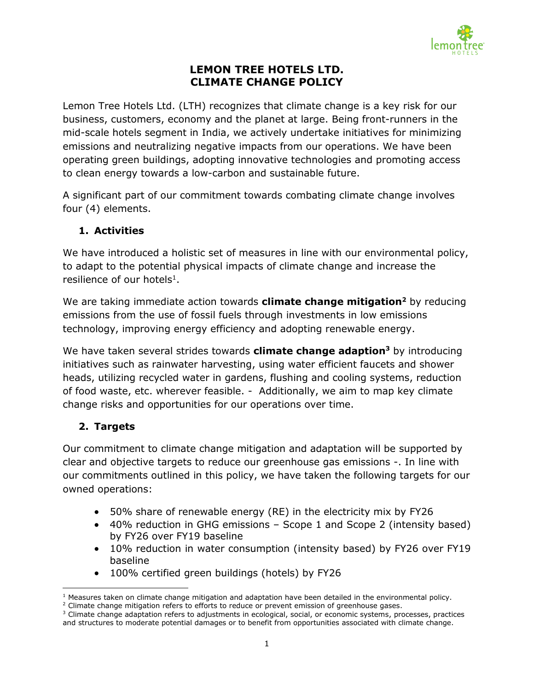

## **LEMON TREE HOTELS LTD. CLIMATE CHANGE POLICY**

Lemon Tree Hotels Ltd. (LTH) recognizes that climate change is a key risk for our business, customers, economy and the planet at large. Being front-runners in the mid-scale hotels segment in India, we actively undertake initiatives for minimizing emissions and neutralizing negative impacts from our operations. We have been operating green buildings, adopting innovative technologies and promoting access to clean energy towards a low-carbon and sustainable future.

A significant part of our commitment towards combating climate change involves four (4) elements.

## **1. Activities**

We have introduced a holistic set of measures in line with our environmental policy, to adapt to the potential physical impacts of climate change and increase the resilience of our hotels<sup>1</sup>.

We are taking immediate action towards **climate change mitigation<sup>2</sup>** by reducing emissions from the use of fossil fuels through investments in low emissions technology, improving energy efficiency and adopting renewable energy.

We have taken several strides towards **climate change adaption<sup>3</sup>** by introducing initiatives such as rainwater harvesting, using water efficient faucets and shower heads, utilizing recycled water in gardens, flushing and cooling systems, reduction of food waste, etc. wherever feasible. - Additionally, we aim to map key climate change risks and opportunities for our operations over time.

# **2. Targets**

Our commitment to climate change mitigation and adaptation will be supported by clear and objective targets to reduce our greenhouse gas emissions -. In line with our commitments outlined in this policy, we have taken the following targets for our owned operations:

- 50% share of renewable energy (RE) in the electricity mix by FY26
- 40% reduction in GHG emissions Scope 1 and Scope 2 (intensity based) by FY26 over FY19 baseline
- 10% reduction in water consumption (intensity based) by FY26 over FY19 baseline
- 100% certified green buildings (hotels) by FY26

 $\overline{\phantom{a}}$  $1$  Measures taken on climate change mitigation and adaptation have been detailed in the environmental policy.

<sup>&</sup>lt;sup>2</sup> Climate change mitigation refers to efforts to reduce or prevent emission of greenhouse gases.

<sup>&</sup>lt;sup>3</sup> Climate change adaptation refers to adjustments in ecological, social, or economic systems, processes, practices and structures to moderate potential damages or to benefit from opportunities associated with climate change.